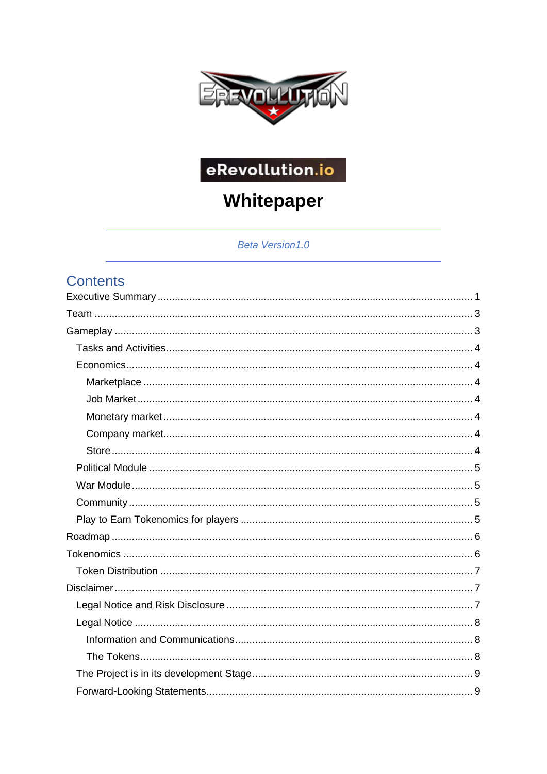

# eRevollution.io

# Whitepaper

Beta Version1.0

# Contents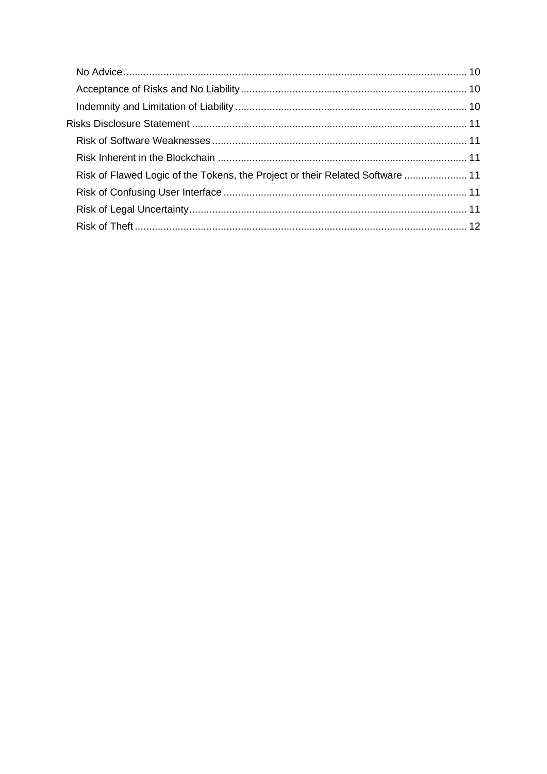| Risk of Flawed Logic of the Tokens, the Project or their Related Software  11 |  |
|-------------------------------------------------------------------------------|--|
|                                                                               |  |
|                                                                               |  |
|                                                                               |  |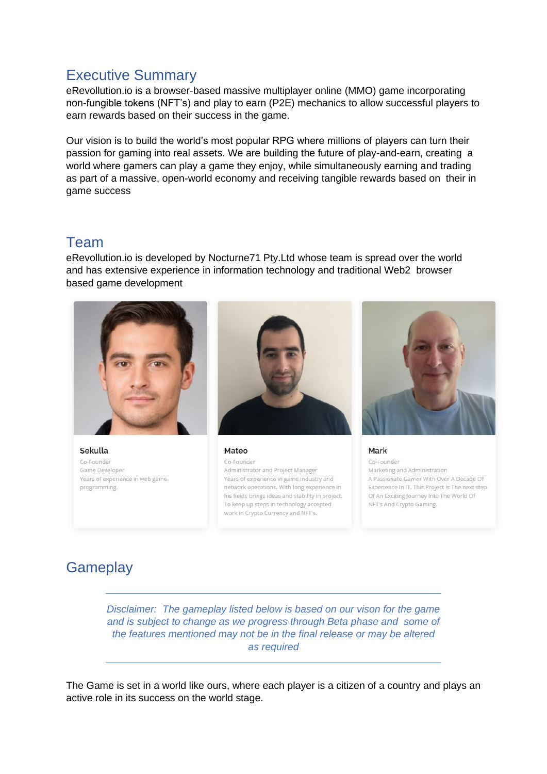# <span id="page-2-0"></span>Executive Summary

eRevollution.io is a browser-based massive multiplayer online (MMO) game incorporating non-fungible tokens (NFT's) and play to earn (P2E) mechanics to allow successful players to earn rewards based on their success in the game.

Our vision is to build the world's most popular RPG where millions of players can turn their passion for gaming into real assets. We are building the future of play-and-earn, creating a world where gamers can play a game they enjoy, while simultaneously earning and trading as part of a massive, open-world economy and receiving tangible rewards based on their in game success

# <span id="page-2-1"></span>Team

eRevollution.io is developed by Nocturne71 Pty.Ltd whose team is spread over the world and has extensive experience in information technology and traditional Web2 browser based game development



Sekulla Co-Founder Game Developer Years of experience in web game programming.



Mateo Co-Founder Administrator and Project Manager Years of experience in game industry and network operations. With long experience in his fields brings ideas and stability in project. To keep up steps in technology accepted work in Crypto Currency and NFT's.



Mark Co-Founder Marketing and Administration A Passionate Gamer With Over A Decade Of Experience In IT. This Project Is The next step Of An Exciting Journey Into The World Of NFT's And Crypto Gaming.

# <span id="page-2-2"></span>**Gameplay**

*Disclaimer: The gameplay listed below is based on our vison for the game and is subject to change as we progress through Beta phase and some of the features mentioned may not be in the final release or may be altered as required* 

The Game is set in a world like ours, where each player is a citizen of a country and plays an active role in its success on the world stage.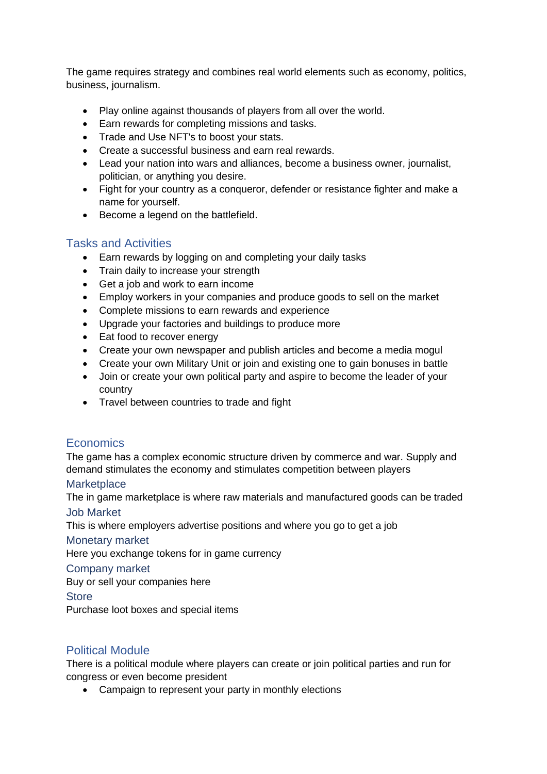The game requires strategy and combines real world elements such as economy, politics, business, journalism.

- Play online against thousands of players from all over the world.
- Earn rewards for completing missions and tasks.
- Trade and Use NFT's to boost your stats.
- Create a successful business and earn real rewards.
- Lead your nation into wars and alliances, become a business owner, journalist, politician, or anything you desire.
- Fight for your country as a conqueror, defender or resistance fighter and make a name for yourself.
- Become a legend on the battlefield.

#### <span id="page-3-0"></span>Tasks and Activities

- Earn rewards by logging on and completing your daily tasks
- Train daily to increase your strength
- Get a job and work to earn income
- Employ workers in your companies and produce goods to sell on the market
- Complete missions to earn rewards and experience
- Upgrade your factories and buildings to produce more
- Eat food to recover energy
- Create your own newspaper and publish articles and become a media mogul
- Create your own Military Unit or join and existing one to gain bonuses in battle
- Join or create your own political party and aspire to become the leader of your country
- Travel between countries to trade and fight

# <span id="page-3-1"></span>**Economics**

The game has a complex economic structure driven by commerce and war. Supply and demand stimulates the economy and stimulates competition between players

#### <span id="page-3-2"></span>**Marketplace**

<span id="page-3-3"></span>The in game marketplace is where raw materials and manufactured goods can be traded Job Market

This is where employers advertise positions and where you go to get a job

#### <span id="page-3-4"></span>Monetary market

Here you exchange tokens for in game currency

#### <span id="page-3-5"></span>Company market

Buy or sell your companies here

<span id="page-3-6"></span>**Store** 

Purchase loot boxes and special items

# <span id="page-3-7"></span>Political Module

There is a political module where players can create or join political parties and run for congress or even become president

• Campaign to represent your party in monthly elections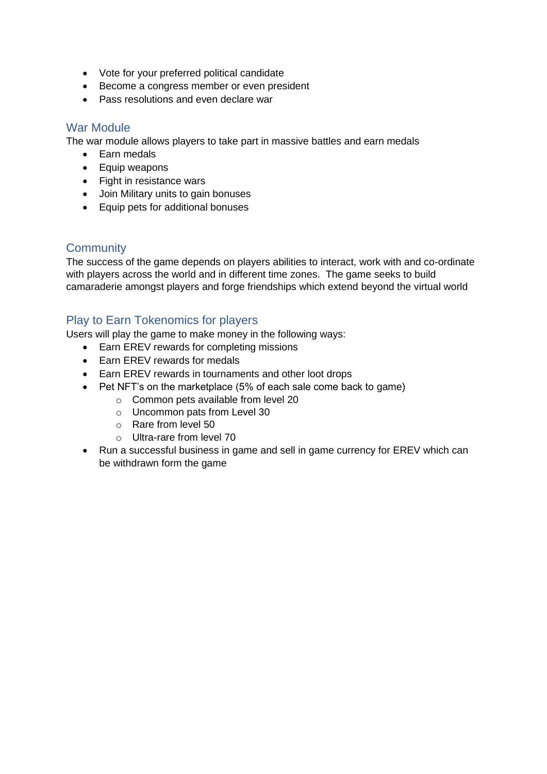- Vote for your preferred political candidate
- Become a congress member or even president
- Pass resolutions and even declare war

#### <span id="page-4-0"></span>War Module

The war module allows players to take part in massive battles and earn medals

- Earn medals
- Equip weapons
- Fight in resistance wars
- Join Military units to gain bonuses
- Equip pets for additional bonuses

# <span id="page-4-1"></span>**Community**

The success of the game depends on players abilities to interact, work with and co-ordinate with players across the world and in different time zones. The game seeks to build camaraderie amongst players and forge friendships which extend beyond the virtual world

### <span id="page-4-2"></span>Play to Earn Tokenomics for players

Users will play the game to make money in the following ways:

- Earn EREV rewards for completing missions
- Earn EREV rewards for medals
- Earn EREV rewards in tournaments and other loot drops
- Pet NFT's on the marketplace (5% of each sale come back to game)
	- o Common pets available from level 20
	- o Uncommon pats from Level 30
	- o Rare from level 50
	- o Ultra-rare from level 70
- Run a successful business in game and sell in game currency for EREV which can be withdrawn form the game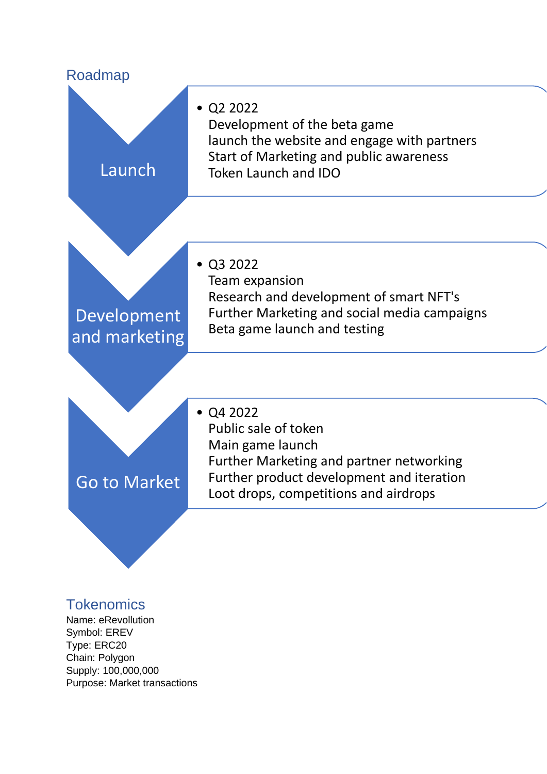<span id="page-5-0"></span>

# <span id="page-5-1"></span>**Tokenomics**

Name: eRevollution Symbol: EREV Type: ERC20 Chain: Polygon Supply: 100,000,000 Purpose: Market transactions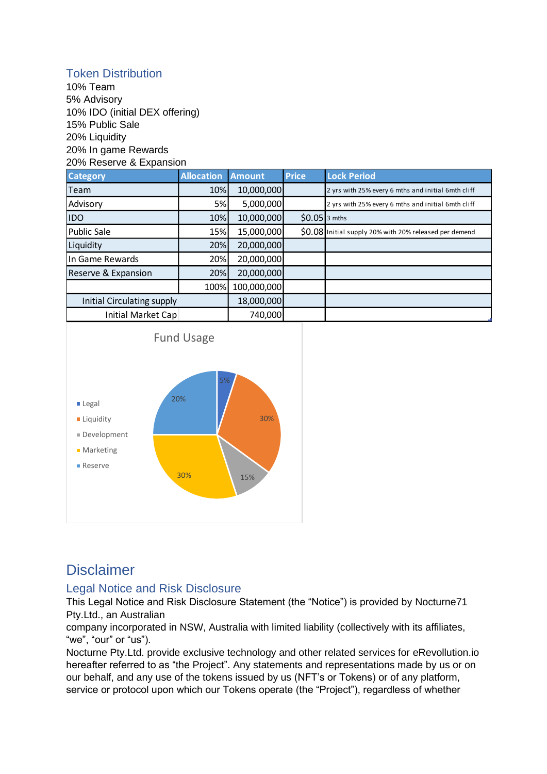# <span id="page-6-0"></span>Token Distribution

10% Team 5% Advisory 10% IDO (initial DEX offering) 15% Public Sale 20% Liquidity 20% In game Rewards 20% Reserve & Expansion

| <b>Category</b>                   | <b>Allocation</b> | <b>Amount</b> | <b>Price</b>   | <b>Lock Period</b>                                     |
|-----------------------------------|-------------------|---------------|----------------|--------------------------------------------------------|
| Team                              | 10%               | 10,000,000    |                | 2 yrs with 25% every 6 mths and initial 6mth cliff     |
| Advisory                          | 5%                | 5,000,000     |                | 2 yrs with 25% every 6 mths and initial 6mth cliff     |
| <b>IDO</b>                        | 10%               | 10,000,000    | $$0.05$ 3 mths |                                                        |
| Public Sale                       | 15%               | 15,000,000    |                | \$0.08 Initial supply 20% with 20% released per demend |
| Liquidity                         | 20%               | 20,000,000    |                |                                                        |
| In Game Rewards                   | 20%               | 20,000,000    |                |                                                        |
| Reserve & Expansion               | 20%               | 20,000,000    |                |                                                        |
|                                   | 100%              | 100,000,000   |                |                                                        |
| <b>Initial Circulating supply</b> |                   | 18,000,000    |                |                                                        |
| Initial Market Cap                |                   | 740,000       |                |                                                        |



# <span id="page-6-1"></span>Disclaimer

# <span id="page-6-2"></span>Legal Notice and Risk Disclosure

This Legal Notice and Risk Disclosure Statement (the "Notice") is provided by Nocturne71 Pty.Ltd., an Australian

company incorporated in NSW, Australia with limited liability (collectively with its affiliates, "we", "our" or "us").

Nocturne Pty.Ltd. provide exclusive technology and other related services for eRevollution.io hereafter referred to as "the Project". Any statements and representations made by us or on our behalf, and any use of the tokens issued by us (NFT's or Tokens) or of any platform, service or protocol upon which our Tokens operate (the "Project"), regardless of whether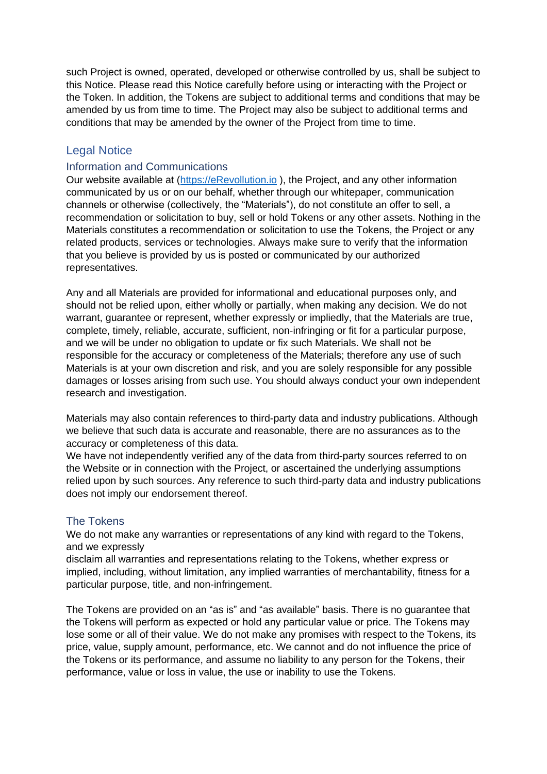such Project is owned, operated, developed or otherwise controlled by us, shall be subject to this Notice. Please read this Notice carefully before using or interacting with the Project or the Token. In addition, the Tokens are subject to additional terms and conditions that may be amended by us from time to time. The Project may also be subject to additional terms and conditions that may be amended by the owner of the Project from time to time.

#### <span id="page-7-0"></span>Legal Notice

#### <span id="page-7-1"></span>Information and Communications

Our website available at [\(https://eRevollution.io](https://erevollution.io/) ), the Project, and any other information communicated by us or on our behalf, whether through our whitepaper, communication channels or otherwise (collectively, the "Materials"), do not constitute an offer to sell, a recommendation or solicitation to buy, sell or hold Tokens or any other assets. Nothing in the Materials constitutes a recommendation or solicitation to use the Tokens, the Project or any related products, services or technologies. Always make sure to verify that the information that you believe is provided by us is posted or communicated by our authorized representatives.

Any and all Materials are provided for informational and educational purposes only, and should not be relied upon, either wholly or partially, when making any decision. We do not warrant, guarantee or represent, whether expressly or impliedly, that the Materials are true, complete, timely, reliable, accurate, sufficient, non-infringing or fit for a particular purpose, and we will be under no obligation to update or fix such Materials. We shall not be responsible for the accuracy or completeness of the Materials; therefore any use of such Materials is at your own discretion and risk, and you are solely responsible for any possible damages or losses arising from such use. You should always conduct your own independent research and investigation.

Materials may also contain references to third-party data and industry publications. Although we believe that such data is accurate and reasonable, there are no assurances as to the accuracy or completeness of this data.

We have not independently verified any of the data from third-party sources referred to on the Website or in connection with the Project, or ascertained the underlying assumptions relied upon by such sources. Any reference to such third-party data and industry publications does not imply our endorsement thereof.

#### <span id="page-7-2"></span>The Tokens

We do not make any warranties or representations of any kind with regard to the Tokens, and we expressly

disclaim all warranties and representations relating to the Tokens, whether express or implied, including, without limitation, any implied warranties of merchantability, fitness for a particular purpose, title, and non-infringement.

The Tokens are provided on an "as is" and "as available" basis. There is no guarantee that the Tokens will perform as expected or hold any particular value or price. The Tokens may lose some or all of their value. We do not make any promises with respect to the Tokens, its price, value, supply amount, performance, etc. We cannot and do not influence the price of the Tokens or its performance, and assume no liability to any person for the Tokens, their performance, value or loss in value, the use or inability to use the Tokens.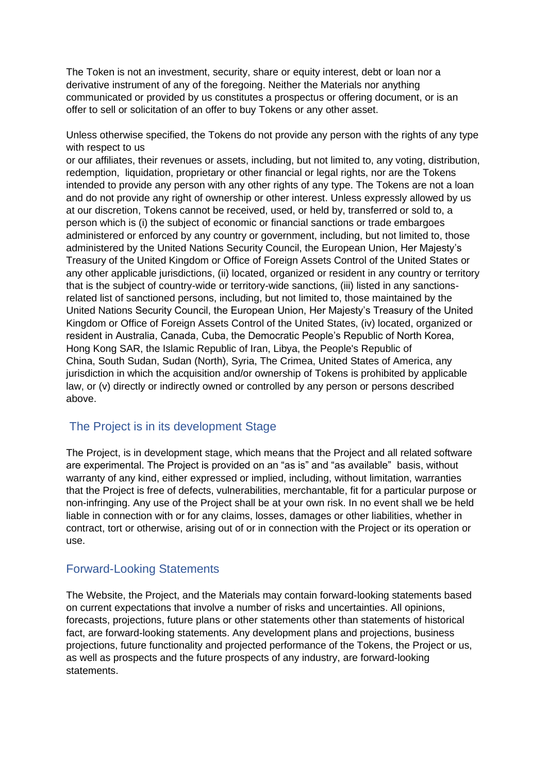The Token is not an investment, security, share or equity interest, debt or loan nor a derivative instrument of any of the foregoing. Neither the Materials nor anything communicated or provided by us constitutes a prospectus or offering document, or is an offer to sell or solicitation of an offer to buy Tokens or any other asset.

Unless otherwise specified, the Tokens do not provide any person with the rights of any type with respect to us

or our affiliates, their revenues or assets, including, but not limited to, any voting, distribution, redemption, liquidation, proprietary or other financial or legal rights, nor are the Tokens intended to provide any person with any other rights of any type. The Tokens are not a loan and do not provide any right of ownership or other interest. Unless expressly allowed by us at our discretion, Tokens cannot be received, used, or held by, transferred or sold to, a person which is (i) the subject of economic or financial sanctions or trade embargoes administered or enforced by any country or government, including, but not limited to, those administered by the United Nations Security Council, the European Union, Her Majesty's Treasury of the United Kingdom or Office of Foreign Assets Control of the United States or any other applicable jurisdictions, (ii) located, organized or resident in any country or territory that is the subject of country-wide or territory-wide sanctions, (iii) listed in any sanctionsrelated list of sanctioned persons, including, but not limited to, those maintained by the United Nations Security Council, the European Union, Her Majesty's Treasury of the United Kingdom or Office of Foreign Assets Control of the United States, (iv) located, organized or resident in Australia, Canada, Cuba, the Democratic People's Republic of North Korea, Hong Kong SAR, the Islamic Republic of Iran, Libya, the People's Republic of China, South Sudan, Sudan (North), Syria, The Crimea, United States of America, any jurisdiction in which the acquisition and/or ownership of Tokens is prohibited by applicable law, or (v) directly or indirectly owned or controlled by any person or persons described above.

# <span id="page-8-0"></span>The Project is in its development Stage

The Project, is in development stage, which means that the Project and all related software are experimental. The Project is provided on an "as is" and "as available" basis, without warranty of any kind, either expressed or implied, including, without limitation, warranties that the Project is free of defects, vulnerabilities, merchantable, fit for a particular purpose or non-infringing. Any use of the Project shall be at your own risk. In no event shall we be held liable in connection with or for any claims, losses, damages or other liabilities, whether in contract, tort or otherwise, arising out of or in connection with the Project or its operation or use.

#### <span id="page-8-1"></span>Forward-Looking Statements

The Website, the Project, and the Materials may contain forward-looking statements based on current expectations that involve a number of risks and uncertainties. All opinions, forecasts, projections, future plans or other statements other than statements of historical fact, are forward-looking statements. Any development plans and projections, business projections, future functionality and projected performance of the Tokens, the Project or us, as well as prospects and the future prospects of any industry, are forward-looking statements.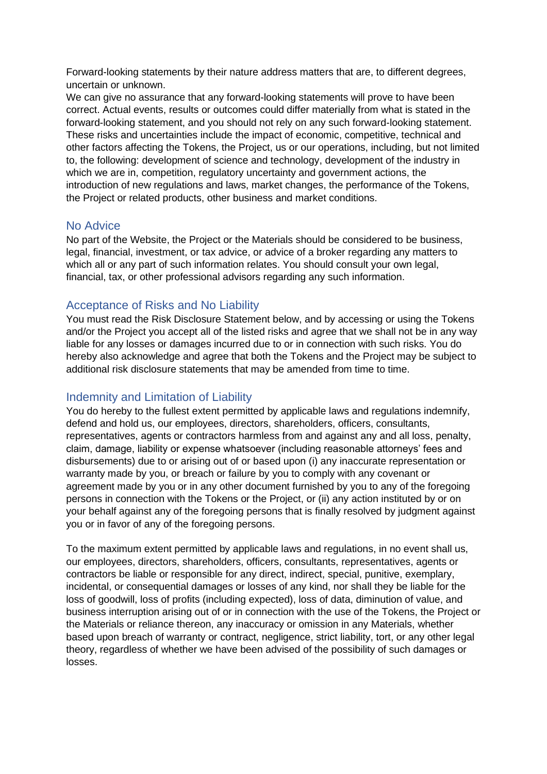Forward-looking statements by their nature address matters that are, to different degrees, uncertain or unknown.

We can give no assurance that any forward-looking statements will prove to have been correct. Actual events, results or outcomes could differ materially from what is stated in the forward-looking statement, and you should not rely on any such forward-looking statement. These risks and uncertainties include the impact of economic, competitive, technical and other factors affecting the Tokens, the Project, us or our operations, including, but not limited to, the following: development of science and technology, development of the industry in which we are in, competition, regulatory uncertainty and government actions, the introduction of new regulations and laws, market changes, the performance of the Tokens, the Project or related products, other business and market conditions.

#### <span id="page-9-0"></span>No Advice

No part of the Website, the Project or the Materials should be considered to be business, legal, financial, investment, or tax advice, or advice of a broker regarding any matters to which all or any part of such information relates. You should consult your own legal, financial, tax, or other professional advisors regarding any such information.

#### <span id="page-9-1"></span>Acceptance of Risks and No Liability

You must read the Risk Disclosure Statement below, and by accessing or using the Tokens and/or the Project you accept all of the listed risks and agree that we shall not be in any way liable for any losses or damages incurred due to or in connection with such risks. You do hereby also acknowledge and agree that both the Tokens and the Project may be subject to additional risk disclosure statements that may be amended from time to time.

#### <span id="page-9-2"></span>Indemnity and Limitation of Liability

You do hereby to the fullest extent permitted by applicable laws and regulations indemnify, defend and hold us, our employees, directors, shareholders, officers, consultants, representatives, agents or contractors harmless from and against any and all loss, penalty, claim, damage, liability or expense whatsoever (including reasonable attorneys' fees and disbursements) due to or arising out of or based upon (i) any inaccurate representation or warranty made by you, or breach or failure by you to comply with any covenant or agreement made by you or in any other document furnished by you to any of the foregoing persons in connection with the Tokens or the Project, or (ii) any action instituted by or on your behalf against any of the foregoing persons that is finally resolved by judgment against you or in favor of any of the foregoing persons.

To the maximum extent permitted by applicable laws and regulations, in no event shall us, our employees, directors, shareholders, officers, consultants, representatives, agents or contractors be liable or responsible for any direct, indirect, special, punitive, exemplary, incidental, or consequential damages or losses of any kind, nor shall they be liable for the loss of goodwill, loss of profits (including expected), loss of data, diminution of value, and business interruption arising out of or in connection with the use of the Tokens, the Project or the Materials or reliance thereon, any inaccuracy or omission in any Materials, whether based upon breach of warranty or contract, negligence, strict liability, tort, or any other legal theory, regardless of whether we have been advised of the possibility of such damages or losses.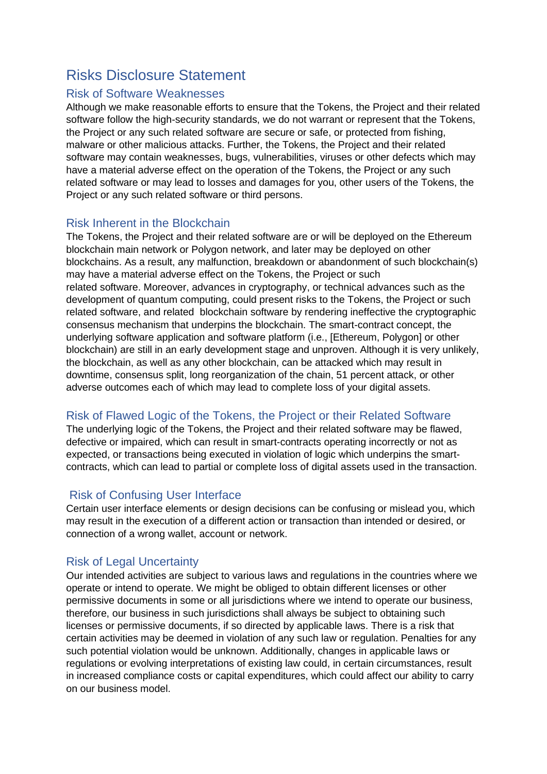# <span id="page-10-0"></span>Risks Disclosure Statement

#### <span id="page-10-1"></span>Risk of Software Weaknesses

Although we make reasonable efforts to ensure that the Tokens, the Project and their related software follow the high-security standards, we do not warrant or represent that the Tokens, the Project or any such related software are secure or safe, or protected from fishing, malware or other malicious attacks. Further, the Tokens, the Project and their related software may contain weaknesses, bugs, vulnerabilities, viruses or other defects which may have a material adverse effect on the operation of the Tokens, the Project or any such related software or may lead to losses and damages for you, other users of the Tokens, the Project or any such related software or third persons.

### <span id="page-10-2"></span>Risk Inherent in the Blockchain

The Tokens, the Project and their related software are or will be deployed on the Ethereum blockchain main network or Polygon network, and later may be deployed on other blockchains. As a result, any malfunction, breakdown or abandonment of such blockchain(s) may have a material adverse effect on the Tokens, the Project or such related software. Moreover, advances in cryptography, or technical advances such as the development of quantum computing, could present risks to the Tokens, the Project or such related software, and related blockchain software by rendering ineffective the cryptographic consensus mechanism that underpins the blockchain. The smart-contract concept, the underlying software application and software platform (i.e., [Ethereum, Polygon] or other blockchain) are still in an early development stage and unproven. Although it is very unlikely, the blockchain, as well as any other blockchain, can be attacked which may result in downtime, consensus split, long reorganization of the chain, 51 percent attack, or other adverse outcomes each of which may lead to complete loss of your digital assets.

# <span id="page-10-3"></span>Risk of Flawed Logic of the Tokens, the Project or their Related Software

The underlying logic of the Tokens, the Project and their related software may be flawed, defective or impaired, which can result in smart-contracts operating incorrectly or not as expected, or transactions being executed in violation of logic which underpins the smartcontracts, which can lead to partial or complete loss of digital assets used in the transaction.

# <span id="page-10-4"></span>Risk of Confusing User Interface

Certain user interface elements or design decisions can be confusing or mislead you, which may result in the execution of a different action or transaction than intended or desired, or connection of a wrong wallet, account or network.

# <span id="page-10-5"></span>Risk of Legal Uncertainty

Our intended activities are subject to various laws and regulations in the countries where we operate or intend to operate. We might be obliged to obtain different licenses or other permissive documents in some or all jurisdictions where we intend to operate our business, therefore, our business in such jurisdictions shall always be subject to obtaining such licenses or permissive documents, if so directed by applicable laws. There is a risk that certain activities may be deemed in violation of any such law or regulation. Penalties for any such potential violation would be unknown. Additionally, changes in applicable laws or regulations or evolving interpretations of existing law could, in certain circumstances, result in increased compliance costs or capital expenditures, which could affect our ability to carry on our business model.